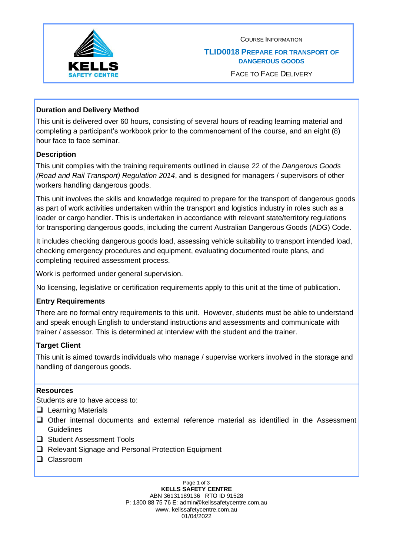

COURSE INFORMATION

#### **TLID0018 PREPARE FOR TRANSPORT OF DANGEROUS GOODS**

FACE TO FACE DELIVERY

# **Duration and Delivery Method**

This unit is delivered over 60 hours, consisting of several hours of reading learning material and completing a participant's workbook prior to the commencement of the course, and an eight (8) hour face to face seminar.

# **Description**

This unit complies with the training requirements outlined in clause 22 of the *Dangerous Goods (Road and Rail Transport) Regulation 2014*, and is designed for managers / supervisors of other workers handling dangerous goods.

This unit involves the skills and knowledge required to prepare for the transport of dangerous goods as part of work activities undertaken within the transport and logistics industry in roles such as a loader or cargo handler. This is undertaken in accordance with relevant state/territory regulations for transporting dangerous goods, including the current Australian Dangerous Goods (ADG) Code.

It includes checking dangerous goods load, assessing vehicle suitability to transport intended load, checking emergency procedures and equipment, evaluating documented route plans, and completing required assessment process.

Work is performed under general supervision.

No licensing, legislative or certification requirements apply to this unit at the time of publication.

### **Entry Requirements**

There are no formal entry requirements to this unit. However, students must be able to understand and speak enough English to understand instructions and assessments and communicate with trainer / assessor. This is determined at interview with the student and the trainer.

### **Target Client**

This unit is aimed towards individuals who manage / supervise workers involved in the storage and handling of dangerous goods.

### **Resources**

Students are to have access to:

- ❑ Learning Materials
- ❑ Other internal documents and external reference material as identified in the Assessment **Guidelines**
- ❑ Student Assessment Tools
- ❑ Relevant Signage and Personal Protection Equipment
- ❑ Classroom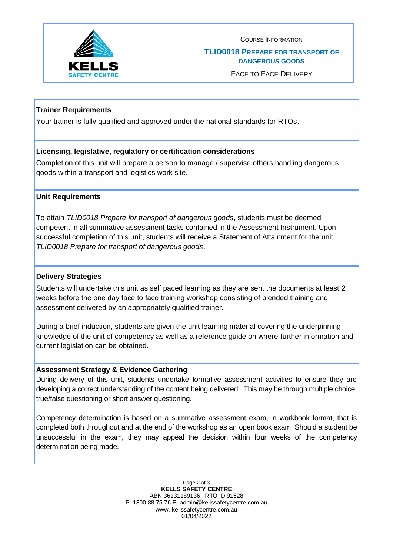

COURSE INFORMATION

#### **TLID0018 PREPARE FOR TRANSPORT OF DANGEROUS GOODS**

FACE TO FACE DELIVERY

### **Trainer Requirements**

Your trainer is fully qualified and approved under the national standards for RTOs.

### **Licensing, legislative, regulatory or certification considerations**

Completion of this unit will prepare a person to manage / supervise others handling dangerous goods within a transport and logistics work site.

#### **Unit Requirements**

To attain *TLID0018 Prepare for transport of dangerous goods*, students must be deemed competent in all summative assessment tasks contained in the Assessment Instrument. Upon successful completion of this unit, students will receive a Statement of Attainment for the unit *TLID0018 Prepare for transport of dangerous goods*.

#### **Delivery Strategies**

Students will undertake this unit as self paced learning as they are sent the documents at least 2 weeks before the one day face to face training workshop consisting of blended training and assessment delivered by an appropriately qualified trainer.

During a brief induction, students are given the unit learning material covering the underpinning knowledge of the unit of competency as well as a reference guide on where further information and current legislation can be obtained.

#### **Assessment Strategy & Evidence Gathering**

During delivery of this unit, students undertake formative assessment activities to ensure they are developing a correct understanding of the content being delivered. This may be through multiple choice, true/false questioning or short answer questioning.

Competency determination is based on a summative assessment exam, in workbook format, that is completed both throughout and at the end of the workshop as an open book exam. Should a student be unsuccessful in the exam, they may appeal the decision within four weeks of the competency determination being made.

> Page 2 of 3 **KELLS SAFETY CENTRE** ABN 36131189136 RTO ID 91528 P: 1300 88 75 76 E: admin@kellssafetycentre.com.au www. kellssafetycentre.com.au 01/04/2022